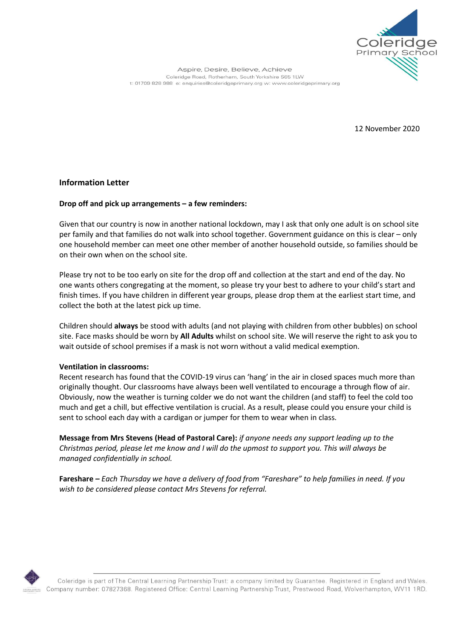

Aspire, Desire, Believe, Achieve Coleridge Road, Rotherham, South Yorkshire S65 1LW t: 01709 828 988 e: enquiries@coleridgeprimary.org w: www.coleridgeprimary.org

12 November 2020

## **Information Letter**

#### **Drop off and pick up arrangements – a few reminders:**

Given that our country is now in another national lockdown, may I ask that only one adult is on school site per family and that families do not walk into school together. Government guidance on this is clear – only one household member can meet one other member of another household outside, so families should be on their own when on the school site.

Please try not to be too early on site for the drop off and collection at the start and end of the day. No one wants others congregating at the moment, so please try your best to adhere to your child's start and finish times. If you have children in different year groups, please drop them at the earliest start time, and collect the both at the latest pick up time.

Children should **always** be stood with adults (and not playing with children from other bubbles) on school site. Face masks should be worn by **All Adults** whilst on school site. We will reserve the right to ask you to wait outside of school premises if a mask is not worn without a valid medical exemption.

#### **Ventilation in classrooms:**

Recent research has found that the COVID-19 virus can 'hang' in the air in closed spaces much more than originally thought. Our classrooms have always been well ventilated to encourage a through flow of air. Obviously, now the weather is turning colder we do not want the children (and staff) to feel the cold too much and get a chill, but effective ventilation is crucial. As a result, please could you ensure your child is sent to school each day with a cardigan or jumper for them to wear when in class.

**Message from Mrs Stevens (Head of Pastoral Care):** *if anyone needs any support leading up to the Christmas period, please let me know and I will do the upmost to support you. This will always be managed confidentially in school.*

**Fareshare** *– Each Thursday we have a delivery of food from "Fareshare" to help families in need. If you wish to be considered please contact Mrs Stevens for referral.*